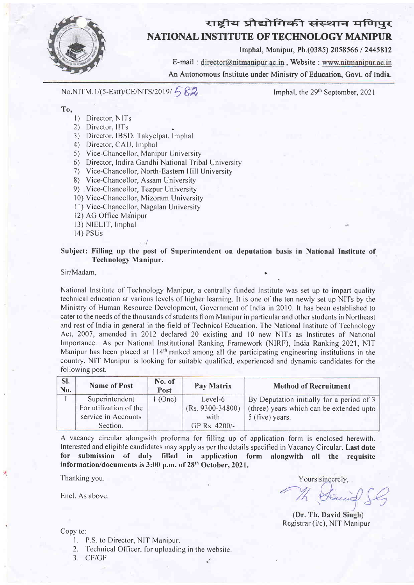

# राष्ट्रीय प्रौद्योगिकी संस्थान मणिपुर NATIONAL INSTITUTE OF TECHNOLOGY MANIPUN

lmphal, Manipur, Ph.(0385) 2058566 l?445812

E-mail: director@nitmanipur.ac.in, Website: www.nitmanipur.ac.in An Autonomous Institute under Ministry of Education, Govt. of India.

 $No.NITM. 1/(5-Estt)/CE/NTS/2019/582$ 

Imphal, the 29<sup>th</sup> September, 2021

#### To,

- l) Director, NlTs
- 2) Director, IlTs
- 3) Director, IBSD. Takyelpat, lmphal
- 4) Director, CAU, Imphal
- 5) Vice-Chancellor, Manipur University
- 6) Director, Indira Gandhi National Tribal University
- 7) Vice-Chancellor, North-Eastern Hill University
- 8) Vice-Chancellor, Assam University
- 9) Vice-Chancellor, Tezpur University
- <sup>I</sup>0) Vice-Chancellor, Mizoram University
- 11) Vice-Chancellor, Nagalan University
- 12) AG Office Manipur
- l3) NIELIT, Inrphal
- 14) PSUs

#### Subject: Filling up the post of Superintendent on deputation basis in National Institute of Technology Manipur.

Sir/Madam.

National Institute of Technology Manipur, a centrally funded Institute was set up to impart quality technical education at various levels of higher learning. It is one of the ten newly set up NITs by the Ministry of Human Resource Development, Government of India in 2010. lt has been established to cater to the needs of the thousands of students from Manipur in particular and other students in Northeast and rest of India in general in the field of Technical Education. The National Institute of Technology Act, 2007, amended in 2012 declared 20 existing and 10 new NITs as Institutes of National Importance. As per National Institutional Ranking Franrework (NIRF), India Ranking.2021, NIT Manipur has been placed at  $114<sup>th</sup>$  ranked among all the participating engineering institutions in the country. NIT Manipur is looking for suitable qualified, experienced and dynamic candidates for the following post.

| SI.<br>No. | <b>Name of Post</b>    | No. of<br>Post | Pay Matrix         | <b>Method of Recruitment</b>              |
|------------|------------------------|----------------|--------------------|-------------------------------------------|
|            | Superintendent         | $1$ (One)      | Level-6            | By Deputation initially for a period of 3 |
|            | For utilization of the |                | $(Rs. 9300-34800)$ | (three) years which can be extended upto  |
|            | service in Accounts    |                | with               | 5 (five) years.                           |
|            | Section.               |                | GP Rs. $4200/-$    |                                           |

A vacancy circular alongwith proforma for filling up of application form is enclosed herewith. Interested and eligible candidates may apply as per the details specified in Vacancy Circular. Last date for submission of duly filled in application form alongwith all the requisite information/documents is  $3:00$  p.m. of  $28<sup>th</sup>$  October, 2021.

Thanking you.

烤

Encl. As above.

Yours sincerely, M Saint

(Dr. Th. David Singh) Registrar (i/c), NIT Manipur

Copy to:

- l. P.S. to Director, NIT Manipur,
- 2. Technical Officer, for uploading in the website.
- 3. CF/GF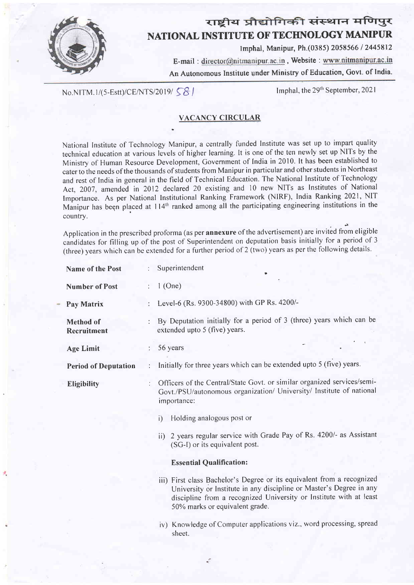

# राष्ट्रीय प्रौद्योगिकी संस्थान मणिपुर NATIONAL INSTITUTE OF TECHNOLOGY MANIPUR

lmphal, Manipur, Ph.(0385) 2058566 / 2445812

E-mail: director@nitmanipur.ac.in, Website: www.nitmanipur.ac.in An Autonomous lnstitute under Ministry of Education, Govt. of India.

No.NITM.1/(5-Estt)/CE/NTS/2019/58

Imphal, the  $29<sup>th</sup>$  September, 2021

### VACANCY CIRCULAR

.

National Institute of Technology Manipur, a centrally funded Institute was set up to impart quality technical education at various levels of higher learning. lt is one of the ten newly set up NITs by the Ministry of Human Resource Development, Government of India in 2010. It has been established to cater to the needs of the thousands of students from Manipur in particular and other students in Northeast and rest of India in general in the field of Technical Education. The National Institute of Technology Act, 2007, amended in 2012 declared 20 existing and 10 new NITs as Institutes of National Importance. As per National Institutional Ranking Framework (NIRF), India Ranking 2021, NIT Manipur has been placed at 114<sup>th</sup> ranked among all the participating engineering institutions in the country.

Application in the prescribed proforma (as per **annexure** of the advertisement) are invited from eligible candidates for filling up of the post of Superintendent on deputation basis initially for a period of <sup>3</sup> (three) years which can be extended for a further period of 2 (two) years as per the following details.

| <b>Name of the Post</b>         |   | Superintendent                                                                                                                                                                                                                                        |  |  |  |  |  |
|---------------------------------|---|-------------------------------------------------------------------------------------------------------------------------------------------------------------------------------------------------------------------------------------------------------|--|--|--|--|--|
| <b>Number of Post</b>           | ÷ | $1$ (One)                                                                                                                                                                                                                                             |  |  |  |  |  |
| Pay Matrix                      |   | Level-6 (Rs. 9300-34800) with GP Rs. 4200/-                                                                                                                                                                                                           |  |  |  |  |  |
| <b>Method</b> of<br>Recruitment |   | By Deputation initially for a period of 3 (three) years which can be<br>extended upto 5 (five) years.                                                                                                                                                 |  |  |  |  |  |
| <b>Age Limit</b>                |   | 56 years                                                                                                                                                                                                                                              |  |  |  |  |  |
| <b>Period of Deputation</b>     |   | Initially for three years which can be extended upto 5 (five) years.                                                                                                                                                                                  |  |  |  |  |  |
| Eligibility                     |   | Officers of the Central/State Govt. or similar organized services/semi-<br>Govt./PSU/autonomous organization/ University/ Institute of national<br>importance:                                                                                        |  |  |  |  |  |
|                                 |   | Holding analogous post or<br>i)                                                                                                                                                                                                                       |  |  |  |  |  |
|                                 |   | ii) 2 years regular service with Grade Pay of Rs. 4200/- as Assistant<br>(SG-I) or its equivalent post.                                                                                                                                               |  |  |  |  |  |
|                                 |   | <b>Essential Qualification:</b>                                                                                                                                                                                                                       |  |  |  |  |  |
|                                 |   | iii) First class Bachelor's Degree or its equivalent from a recognized<br>University or Institute in any discipline or Master's Degree in any<br>discipline from a recognized University or Institute with at least<br>50% marks or equivalent grade. |  |  |  |  |  |
|                                 |   | iv) Knowledge of Computer applications viz., word processing, spread                                                                                                                                                                                  |  |  |  |  |  |

sheet,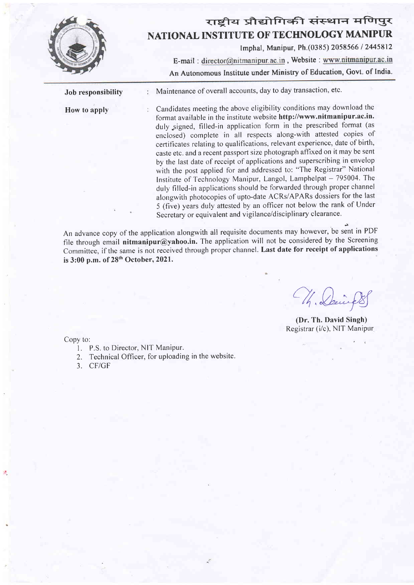

How to apply

## राष्टीय प्रौद्योगिकी संस्थान मणिपुर NATIONAL INSTITUTE OF TECHNOLQGY MANIPUR

Imphal, Manipur, Ph.(0385) 2058566 / 2445812 E-mail: director@nitmanipur.ac.in, Website: www.nitmanipur.ac.in

An Autonomous Institute under Ministry of Education, Govt. of India.

Job responsibility  $M$ aintenance of overall accounts, day to day transaction, etc.

> Candidates meeting the above eligibility conditions may download the format available in the institute website http://www.nitmanipur.ac.in. duly signed, filled-in application form in the prescribed format (as enclosed) complete in all respects along-with attested copies of certificates relating to qualifications, relevant experience, date of birth, caste etc. and a recent passport size photograph affixed on it may be sent by the last date of receipt of applications and superscribing in envelop with the post applied for and addressed to: "The Registrar" National Institute of Technology Manipur, Langol, Lamphelpat - 795004. The duly filled-in applications should be forwarded through proper channel alongwith photocopies of upto-date ACRs/APARs dossiers for the last 5 (five) years duly attested by an officer not below the rank of Under Secretary or equivalent and vigilance/disciplinary clearance.

An advance copy of the application alongwith all requisite documents may however, be sent in PDF file through email nitmanipur@yahoo.in. The application will not be considered by the Screening Committee, if the same is not received through proper channel. Last date for receipt of applications is 3:00 p.m. of 28<sup>th</sup> October, 2021.

Wh. Davi

(Dr.'Ih. David Singh) Registrar (i/c), NIT Manipur

Copy to:

- 1. P.S. to Director, NIT Manipur.
- 2. Technical Officer, for uploading in the website.
- 3. CF/GF